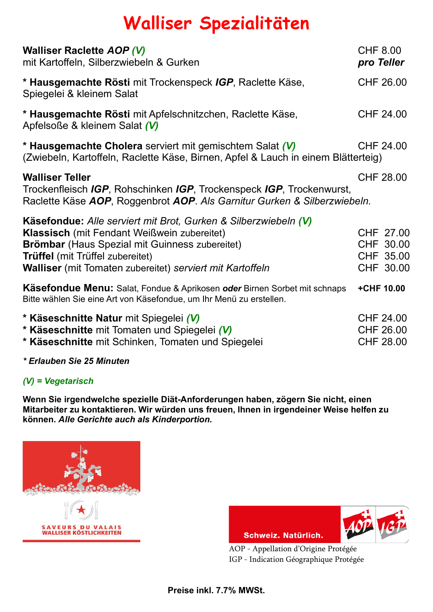## **Walliser Spezialitäten**

| <b>Walliser Raclette AOP (V)</b><br>mit Kartoffeln, Silberzwiebeln & Gurken                                                                                                                                                                                                            | <b>CHF 8.00</b> | pro Teller                                               |
|----------------------------------------------------------------------------------------------------------------------------------------------------------------------------------------------------------------------------------------------------------------------------------------|-----------------|----------------------------------------------------------|
| * Hausgemachte Rösti mit Trockenspeck IGP, Raclette Käse,<br>Spiegelei & kleinem Salat                                                                                                                                                                                                 |                 | CHF 26.00                                                |
| * Hausgemachte Rösti mit Apfelschnitzchen, Raclette Käse,<br>Apfelsoße & kleinem Salat (V)                                                                                                                                                                                             |                 | <b>CHF 24.00</b>                                         |
| * Hausgemachte Cholera serviert mit gemischtem Salat (V)<br>(Zwiebeln, Kartoffeln, Raclette Käse, Birnen, Apfel & Lauch in einem Blätterteig)                                                                                                                                          |                 | <b>CHF 24.00</b>                                         |
| <b>Walliser Teller</b><br>Trockenfleisch IGP, Rohschinken IGP, Trockenspeck IGP, Trockenwurst,<br>Raclette Käse AOP, Roggenbrot AOP. Als Garnitur Gurken & Silberzwiebeln.                                                                                                             |                 | CHF 28.00                                                |
| Käsefondue: Alle serviert mit Brot, Gurken & Silberzwiebeln (V)<br><b>Klassisch</b> (mit Fendant Weißwein zubereitet)<br><b>Brömbar</b> (Haus Spezial mit Guinness zubereitet)<br><b>Trüffel</b> (mit Trüffel zubereitet)<br>Walliser (mit Tomaten zubereitet) serviert mit Kartoffeln |                 | CHF 27.00<br>CHF 30.00<br>CHF 35.00<br>CHF 30.00         |
| <b>Käsefondue Menu:</b> Salat, Fondue & Aprikosen oder Birnen Sorbet mit schnaps<br>Bitte wählen Sie eine Art von Käsefondue, um Ihr Menü zu erstellen.                                                                                                                                |                 | +CHF 10.00                                               |
| * Käseschnitte Natur mit Spiegelei (V)<br>* Käseschnitte mit Tomaten und Spiegelei (V)<br>* Käseschnitte mit Schinken, Tomaten und Spiegelei                                                                                                                                           |                 | <b>CHF 24.00</b><br><b>CHF 26.00</b><br><b>CHF 28.00</b> |

*\* Erlauben Sie 25 Minuten*

## *(V) = Vegetarisch*

**Wenn Sie irgendwelche spezielle Diät-Anforderungen haben, zögern Sie nicht, einen Mitarbeiter zu kontaktieren. Wir würden uns freuen, Ihnen in irgendeiner Weise helfen zu können.** *Alle Gerichte auch als Kinderportion.*





AOP - Appellation d'Origine Protégée IGP - Indication Géographique Protégée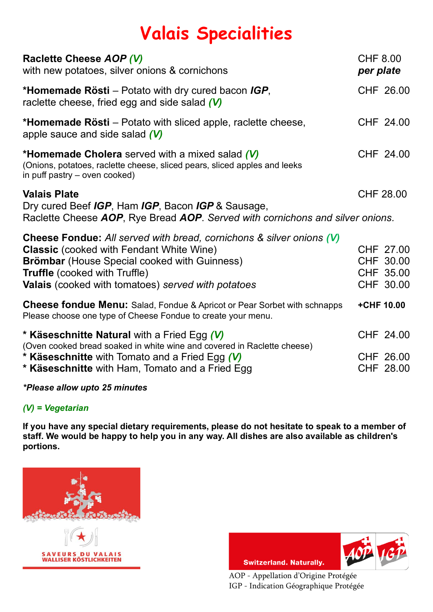## **Valais Specialities**

| Raclette Cheese AOP (V)<br>with new potatoes, silver onions & cornichons                                                                                                                                                                                                            | <b>CHF 8.00</b><br>per plate |                                                  |
|-------------------------------------------------------------------------------------------------------------------------------------------------------------------------------------------------------------------------------------------------------------------------------------|------------------------------|--------------------------------------------------|
| <b>*Homemade Rösti</b> – Potato with dry cured bacon IGP,<br>raclette cheese, fried egg and side salad $(V)$                                                                                                                                                                        |                              | CHF 26.00                                        |
| <b>*Homemade Rösti</b> – Potato with sliced apple, raclette cheese,<br>apple sauce and side salad $(V)$                                                                                                                                                                             |                              | CHF 24.00                                        |
| <b>*Homemade Cholera</b> served with a mixed salad (V)<br>(Onions, potatoes, raclette cheese, sliced pears, sliced apples and leeks<br>in puff pastry – oven cooked)                                                                                                                |                              | CHF 24.00                                        |
| <b>Valais Plate</b><br>Dry cured Beef IGP, Ham IGP, Bacon IGP & Sausage,<br>Raclette Cheese AOP, Rye Bread AOP. Served with cornichons and silver onions.                                                                                                                           |                              | CHF 28.00                                        |
| <b>Cheese Fondue:</b> All served with bread, cornichons & silver onions (V)<br><b>Classic</b> (cooked with Fendant White Wine)<br><b>Brömbar</b> (House Special cooked with Guinness)<br><b>Truffle</b> (cooked with Truffle)<br>Valais (cooked with tomatoes) served with potatoes |                              | CHF 27.00<br>CHF 30.00<br>CHF 35.00<br>CHF 30.00 |
| <b>Cheese fondue Menu:</b> Salad, Fondue & Apricot or Pear Sorbet with schnapps<br>Please choose one type of Cheese Fondue to create your menu.                                                                                                                                     | +CHF 10.00                   |                                                  |
| <b>* Käseschnitte Natural with a Fried Egg (V)</b><br>(Oven cooked bread soaked in white wine and covered in Raclette cheese)<br><b>* Käseschnitte</b> with Tomato and a Fried Egg (V)<br><b>* Käseschnitte</b> with Ham, Tomato and a Fried Egg                                    |                              | CHF 24.00<br>CHF 26.00<br>CHF 28.00              |

*\*Please allow upto 25 minutes*

## *(V) = Vegetarian*

**If you have any special dietary requirements, please do not hesitate to speak to a member of staff. We would be happy to help you in any way. All dishes are also available as children's portions.**





AOP - Appellation d'Origine Protégée IGP - Indication Géographique Protégée